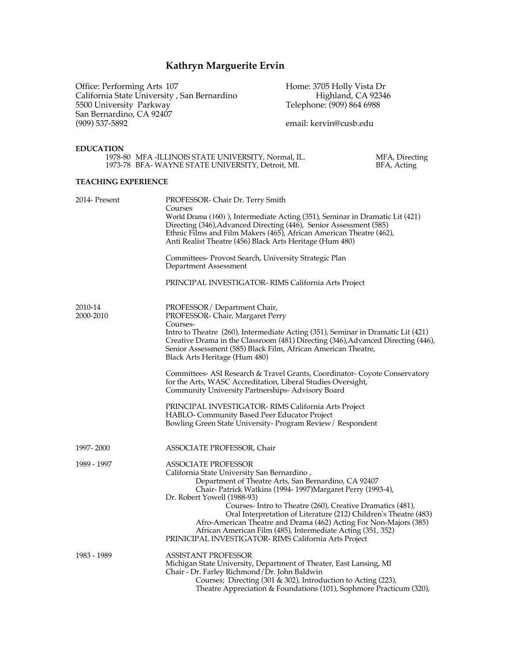# **Kathryn Marguerite Ervin**

Office: Performing Arts 107 https://www.mate.org/mate.org/mate.org/mate.org/mate.org/mate.org/mate.org/mate.org/ California State University , San Bernardino Highland, CA 92346 5500 University Parkway Telephone: (909) 864 6988 San Bernardino, CA 92407 (909) 537-5892 email: kervin@cusb.edu

MFA, Directing<br>BFA, Acting

#### **EDUCATION**

| 1978-80 MFA - ILLINOIS STATE UNIVERSITY, Normal, IL. |  |
|------------------------------------------------------|--|
| 1973-78 BFA-WAYNE STATE UNIVERSITY, Detroit, MI.     |  |

### **TEACHING EXPERIENCE**

| 2014- Present        | PROFESSOR- Chair Dr. Terry Smith<br>Courses<br>World Drama (160)), Intermediate Acting (351), Seminar in Dramatic Lit (421)<br>Directing (346), Advanced Directing (446), Senior Assessment (585)<br>Ethnic Films and Film Makers (465), African American Theatre (462),<br>Anti Realist Theatre (456) Black Arts Heritage (Hum 480)                                                                                                                                                                                                                       |
|----------------------|------------------------------------------------------------------------------------------------------------------------------------------------------------------------------------------------------------------------------------------------------------------------------------------------------------------------------------------------------------------------------------------------------------------------------------------------------------------------------------------------------------------------------------------------------------|
|                      | Committees- Provost Search, University Strategic Plan<br>Department Assessment                                                                                                                                                                                                                                                                                                                                                                                                                                                                             |
|                      | PRINCIPAL INVESTIGATOR-RIMS California Arts Project                                                                                                                                                                                                                                                                                                                                                                                                                                                                                                        |
| 2010-14<br>2000-2010 | PROFESSOR/Department Chair,<br>PROFESSOR-Chair, Margaret Perry<br>Courses-<br>Intro to Theatre (260), Intermediate Acting (351), Seminar in Dramatic Lit (421)<br>Creative Drama in the Classroom (481) Directing (346), Advanced Directing (446),<br>Senior Assessment (585) Black Film, African American Theatre,<br>Black Arts Heritage (Hum 480)                                                                                                                                                                                                       |
|                      | Committees- ASI Research & Travel Grants, Coordinator- Coyote Conservatory<br>for the Arts, WASC Accreditation, Liberal Studies Oversight,<br>Community University Partnerships-Advisory Board<br>PRINCIPAL INVESTIGATOR-RIMS California Arts Project<br><b>HABLO- Community Based Peer Educator Project</b><br>Bowling Green State University-Program Review / Respondent                                                                                                                                                                                 |
| 1997-2000            | ASSOCIATE PROFESSOR, Chair                                                                                                                                                                                                                                                                                                                                                                                                                                                                                                                                 |
| 1989 - 1997          | <b>ASSOCIATE PROFESSOR</b><br>California State University San Bernardino,<br>Department of Theatre Arts, San Bernardino, CA 92407<br>Chair-Patrick Watkins (1994-1997)Margaret Perry (1993-4),<br>Dr. Robert Yowell (1988-93)<br>Courses-Intro to Theatre (260), Creative Dramatics (481),<br>Oral Interpretation of Literature (212) Children's Theatre (483)<br>Afro-American Theatre and Drama (462) Acting For Non-Majors (385)<br>African American Film (485), Intermediate Acting (351, 352)<br>PRINICIPAL INVESTIGATOR-RIMS California Arts Project |
| 1983 - 1989          | <b>ASSISTANT PROFESSOR</b><br>Michigan State University, Department of Theater, East Lansing, MI<br>Chair - Dr. Farley Richmond/Dr. John Baldwin<br>Courses; Directing (301 & 302), Introduction to Acting (223),<br>Theatre Appreciation & Foundations (101), Sophmore Practicum (320),                                                                                                                                                                                                                                                                   |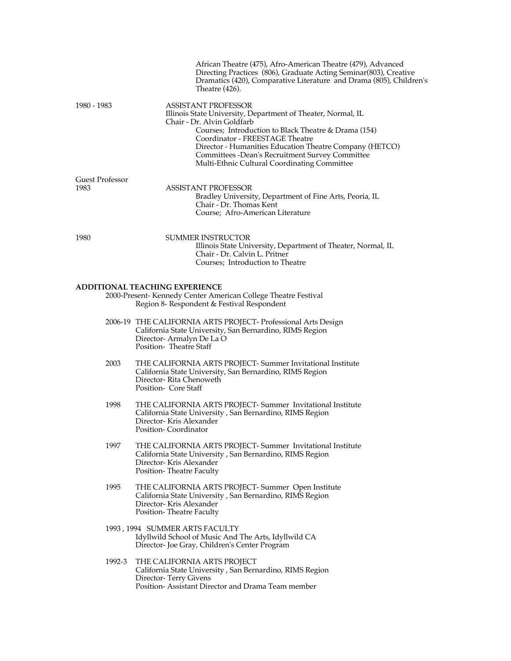|                                | African Theatre (475), Afro-American Theatre (479), Advanced<br>Directing Practices (806), Graduate Acting Seminar(803), Creative<br>Dramatics (420), Comparative Literature and Drama (805), Children's<br>Theatre $(426)$ .                                                                                                                                                      |
|--------------------------------|------------------------------------------------------------------------------------------------------------------------------------------------------------------------------------------------------------------------------------------------------------------------------------------------------------------------------------------------------------------------------------|
| 1980 - 1983                    | <b>ASSISTANT PROFESSOR</b><br>Illinois State University, Department of Theater, Normal, IL<br>Chair - Dr. Alvin Goldfarb<br>Courses; Introduction to Black Theatre & Drama (154)<br>Coordinator - FREESTAGE Theatre<br>Director - Humanities Education Theatre Company (HETCO)<br>Committees - Dean's Recruitment Survey Committee<br>Multi-Ethnic Cultural Coordinating Committee |
| <b>Guest Professor</b><br>1983 | <b>ASSISTANT PROFESSOR</b>                                                                                                                                                                                                                                                                                                                                                         |
|                                | Bradley University, Department of Fine Arts, Peoria, IL<br>Chair - Dr. Thomas Kent<br>Course; Afro-American Literature                                                                                                                                                                                                                                                             |
| 1980                           | SUMMER INSTRUCTOR<br>Illinois State University, Department of Theater, Normal, IL<br>Chair - Dr. Calvin L. Pritner<br>Courses; Introduction to Theatre                                                                                                                                                                                                                             |
|                                | <b>ADDITIONAL TEACHING EXPERIENCE</b><br>2000-Present-Kennedy Center American College Theatre Festival<br>Region 8- Respondent & Festival Respondent                                                                                                                                                                                                                               |
|                                | 2006-19 THE CALIFORNIA ARTS PROJECT- Professional Arts Design<br>California State University, San Bernardino, RIMS Region<br>Director-Armalyn De La O<br>Position-Theatre Staff                                                                                                                                                                                                    |
| 2003                           | THE CALIFORNIA ARTS PROJECT- Summer Invitational Institute<br>California State University, San Bernardino, RIMS Region<br>Director-Rita Chenoweth<br>Position- Core Staff                                                                                                                                                                                                          |
| 1998                           | THE CALIFORNIA ARTS PROJECT- Summer Invitational Institute<br>California State University, San Bernardino, RIMS Region<br>Director-Kris Alexander<br>Position-Coordinator                                                                                                                                                                                                          |
| 1997                           | THE CALIFORNIA ARTS PROJECT- Summer Invitational Institute<br>California State University, San Bernardino, RIMS Region<br>Director- Kris Alexander<br>Position-Theatre Faculty                                                                                                                                                                                                     |
| 1995                           | THE CALIFORNIA ARTS PROJECT- Summer Open Institute<br>California State University, San Bernardino, RIMS Region<br>Director- Kris Alexander<br>Position-Theatre Faculty                                                                                                                                                                                                             |
|                                | 1993, 1994 SUMMER ARTS FACULTY<br>Idyllwild School of Music And The Arts, Idyllwild CA<br>Director- Joe Gray, Children's Center Program                                                                                                                                                                                                                                            |
| 1992-3                         | THE CALIFORNIA ARTS PROJECT<br>California State University, San Bernardino, RIMS Region<br>Director-Terry Givens<br>Position-Assistant Director and Drama Team member                                                                                                                                                                                                              |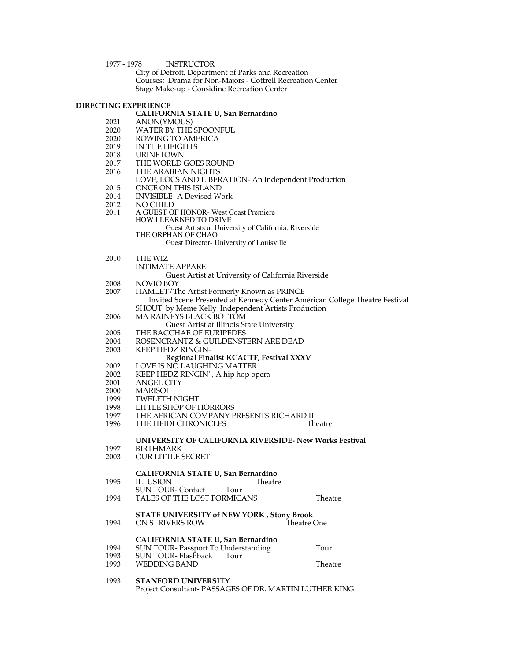#### 1977 - 1978 INSTRUCTOR

City of Detroit, Department of Parks and Recreation Courses; Drama for Non-Majors - Cottrell Recreation Center Stage Make-up - Considine Recreation Center

# **DIRECTING EXPERIENCE**

|      | <b>THAT EVALUATE</b>                                                                 |             |
|------|--------------------------------------------------------------------------------------|-------------|
|      | <b>CALIFORNIA STATE U, San Bernardino</b>                                            |             |
| 2021 | ANON(YMOUS)                                                                          |             |
| 2020 | WATER BY THE SPOONFUL                                                                |             |
| 2020 | ROWING TO AMERICA                                                                    |             |
| 2019 | IN THE HEIGHTS                                                                       |             |
| 2018 | <b>URINETOWN</b>                                                                     |             |
| 2017 | THE WORLD GOES ROUND                                                                 |             |
| 2016 | THE ARABIAN NIGHTS                                                                   |             |
|      | LOVE, LOCS AND LIBERATION- An Independent Production                                 |             |
| 2015 | ONCE ON THIS ISLAND                                                                  |             |
| 2014 | <b>INVISIBLE- A Devised Work</b>                                                     |             |
| 2012 | NO CHILD                                                                             |             |
| 2011 | A GUEST OF HONOR- West Coast Premiere                                                |             |
|      | <b>HOW I LEARNED TO DRIVE</b>                                                        |             |
|      | Guest Artists at University of California, Riverside                                 |             |
|      | THE ORPHAN OF CHAO                                                                   |             |
|      | Guest Director- University of Louisville                                             |             |
|      |                                                                                      |             |
| 2010 | THE WIZ                                                                              |             |
|      | INTIMATE APPAREL                                                                     |             |
|      | Guest Artist at University of California Riverside                                   |             |
| 2008 | NOVIO BOY                                                                            |             |
| 2007 | HAMLET/The Artist Formerly Known as PRINCE                                           |             |
|      | Invited Scene Presented at Kennedy Center American College Theatre Festival          |             |
|      | SHOUT by Meme Kelly Independent Artists Production                                   |             |
| 2006 | <b>MA RAINEYS BLACK BOTTOM</b>                                                       |             |
|      | Guest Artist at Illinois State University                                            |             |
| 2005 | THE BACCHAE OF EURIPEDES                                                             |             |
| 2004 | ROSENCRANTZ & GUILDENSTERN ARE DEAD                                                  |             |
| 2003 | <b>KEEP HEDZ RINGIN-</b>                                                             |             |
|      | Regional Finalist KCACTF, Festival XXXV                                              |             |
| 2002 | LOVE IS NO LAUGHING MATTER                                                           |             |
| 2002 | KEEP HEDZ RINGIN', A hip hop opera                                                   |             |
| 2001 | <b>ANGEL CITY</b>                                                                    |             |
| 2000 | MARISOL                                                                              |             |
|      |                                                                                      |             |
| 1999 | <b>TWELFTH NIGHT</b>                                                                 |             |
| 1998 | LITTLE SHOP OF HORRORS                                                               |             |
| 1997 | THE AFRICAN COMPANY PRESENTS RICHARD III                                             |             |
| 1996 | THE HEIDI CHRONICLES                                                                 | Theatre     |
|      |                                                                                      |             |
|      | UNIVERSITY OF CALIFORNIA RIVERSIDE- New Works Festival<br><b>BIRTHMARK</b>           |             |
| 1997 | <b>OUR LITTLE SECRET</b>                                                             |             |
| 2003 |                                                                                      |             |
|      | <b>CALIFORNIA STATE U, San Bernardino</b>                                            |             |
| 1995 | Theatre                                                                              |             |
|      | <b>ILLUSION</b>                                                                      |             |
| 1994 | <b>SUN TOUR- Contact</b><br>Tour                                                     |             |
|      | TALES OF THE LOST FORMICANS                                                          | Theatre     |
|      | <b>STATE UNIVERSITY of NEW YORK, Stony Brook</b>                                     |             |
| 1994 | ON STRIVERS ROW                                                                      | Theatre One |
|      |                                                                                      |             |
|      | <b>CALIFORNIA STATE U, San Bernardino</b>                                            |             |
| 1994 | SUN TOUR-Passport To Understanding                                                   | Tour        |
| 1993 | <b>SUN TOUR-Flashback</b><br>Tour                                                    |             |
| 1993 | <b>WEDDING BAND</b>                                                                  | Theatre     |
|      |                                                                                      |             |
|      |                                                                                      |             |
| 1993 | <b>STANFORD UNIVERSITY</b><br>Project Consultant- PASSAGES OF DR. MARTIN LUTHER KING |             |
|      |                                                                                      |             |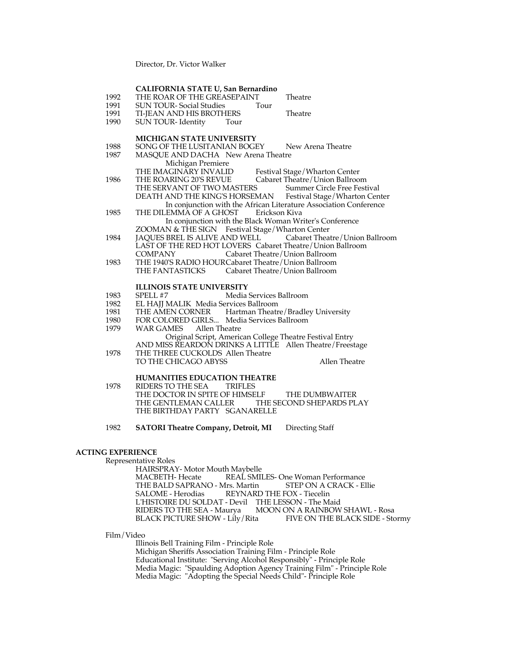Director, Dr. Victor Walker

|      | CALIFORNIA STATE U, San Bernardino                                |
|------|-------------------------------------------------------------------|
| 1992 | THE ROAR OF THE GREASEPAINT<br>Theatre                            |
| 1991 | <b>SUN TOUR-Social Studies</b><br>Tour                            |
| 1991 | Theatre<br>TI-JEAN AND HIS BROTHERS                               |
| 1990 | <b>SUN TOUR-Identity</b><br>Tour                                  |
|      | <b>MICHIGAN STATE UNIVERSITY</b>                                  |
| 1988 | SONG OF THE LUSITANIAN BOGEY<br>New Arena Theatre                 |
| 1987 | MASQUE AND DACHA New Arena Theatre                                |
|      | Michigan Premiere                                                 |
|      | THE IMAGINĀRY INVALID<br>Festival Stage/Wharton Center            |
| 1986 | Cabaret Theatre/Union Ballroom<br>THE ROARING 20'S REVUE          |
|      | THE SERVANT OF TWO MASTERS<br>Summer Circle Free Festival         |
|      | DEATH AND THE KING'S HORSEMAN Festival Stage/Wharton Center       |
|      | In conjunction with the African Literature Association Conference |
| 1985 | THE DILEMMA OF A GHOST<br>Erickson Kiva                           |
|      | In conjunction with the Black Woman Writer's Conference           |
|      | ZOOMAN & THE SIGN Festival Stage/Wharton Center                   |
| 1984 | JAQUES BREL IS ALIVE AND WELL Cabaret Theatre/Union Ballroom      |
|      | LAST OF THE RED HOT LOVERS Cabaret Theatre/Union Ballroom         |
|      | <b>COMPANY</b><br>Cabaret Theatre/Union Ballroom                  |
| 1983 | THE 1940'S RADIO HOURCabaret Theatre/Union Ballroom               |
|      | THE FANTASTICKS Cabaret Theatre/Union Ballroom                    |
|      | <b>ILLINOIS STATE UNIVERSITY</b>                                  |
| 1983 | Media Services Ballroom<br>SPELL #7                               |
| 1982 | EL HAJJ MALIK Media Services Ballroom                             |
| 1981 | THE AMEN CORNER Hartman Theatre/Bradley University                |
| 1980 | FOR COLORED GIRLS Media Services Ballroom                         |
| 1979 | WAR GAMES Allen Theatre                                           |
|      | Original Script, American College Theatre Festival Entry          |
|      | AND MISS REARDON DRINKS A LITTLE Allen Theatre/Freestage          |
| 1978 | THE THREE CUCKOLDS Allen Theatre                                  |
|      | Allen Theatre<br>TO THE CHICAGO ABYSS                             |
|      |                                                                   |
|      | <b>HUMANITIES EDUCATION THEATRE</b>                               |
| 1978 | RIDERS TO THE SEA<br><b>TRIFLES</b>                               |
|      | THE DOCTOR IN SPITE OF HIMSELF<br>THE DUMBWAITER                  |
|      | THE GENTLEMAN CALLER THE SECOND SHEPARDS PLAY                     |
|      | THE BIRTHDAY PARTY SGANARELLE                                     |
|      |                                                                   |
| 1982 | <b>SATORI Theatre Company, Detroit, MI</b><br>Directing Staff     |

## **ACTING EXPERIENCE**

Representative Roles

HAIRSPRAY- Motor Mouth Maybelle REAL SMILES- One Woman Performance<br> *Ars. Martin* STEP ON A CRACK - Ellie THE BALD SAPRANO - Mrs. Martin STEP ON A C<br>SALOME - Herodias REYNARD THE FOX - Tiecelin SALOME - Herodias REYNARD THE FOX - Tiecelin L'HISTOIRE DU SOLDAT - Devil THE LESSON - The Maid RIDERS TO THE SEA - Maurya MOON ON A RAINBOW SHAWL - Rosa BLACK PICTURE SHOW - Lily/Rita FIVE ON THE BLACK SIDE - Stormy

Film/Video

Illinois Bell Training Film - Principle Role

Michigan Sheriffs Association Training Film - Principle Role Educational Institute: "Serving Alcohol Responsibly" - Principle Role Media Magic: "Spaulding Adoption Agency Training Film" - Principle Role Media Magic: "Adopting the Special Needs Child"- Principle Role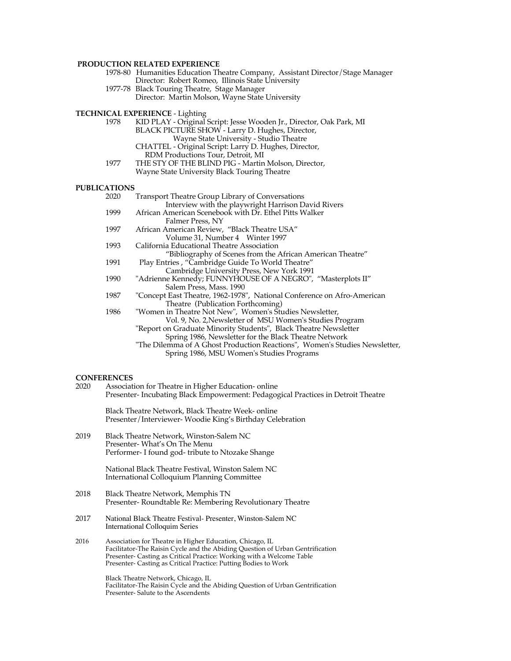#### **PRODUCTION RELATED EXPERIENCE**

- 1978-80 Humanities Education Theatre Company, Assistant Director/Stage Manager Director: Robert Romeo, Illinois State University
- 1977-78 Black Touring Theatre, Stage Manager Director: Martin Molson, Wayne State University

**TECHNICAL EXPERIENCE - Lighting**<br>1978 KID PLAY - Original

- KID PLAY Original Script: Jesse Wooden Jr., Director, Oak Park, MI BLACK PICTURE SHOW - Larry D. Hughes, Director, Wayne State University - Studio Theatre CHATTEL - Original Script: Larry D. Hughes, Director,
- RDM Productions Tour, Detroit, MI<br>1977 THE STY OF THE BLIND PIG Martin THE STY OF THE BLIND PIG - Martin Molson, Director,
	- Wayne State University Black Touring Theatre

#### **PUBLICATIONS**

| 2020 | Transport Theatre Group Library of Conversations                           |
|------|----------------------------------------------------------------------------|
|      | Interview with the playwright Harrison David Rivers                        |
| 1999 | African American Scenebook with Dr. Ethel Pitts Walker                     |
|      | Falmer Press, NY                                                           |
| 1997 | African American Review, "Black Theatre USA"                               |
|      | Volume 31, Number 4 Winter 1997                                            |
| 1993 | California Educational Theatre Association                                 |
|      | "Bibliography of Scenes from the African American Theatre"                 |
| 1991 | Play Entries, "Cambridge Guide To World Theatre"                           |
|      | Cambridge University Press, New York 1991                                  |
| 1990 | "Adrienne Kennedy; FUNNYHOUSE OF A NEGRO", "Masterplots II"                |
|      | Salem Press, Mass. 1990                                                    |
| 1987 | "Concept East Theatre, 1962-1978", National Conference on Afro-American    |
|      | Theatre (Publication Forthcoming)                                          |
| 1986 | "Women in Theatre Not New", Women's Studies Newsletter,                    |
|      | Vol. 9, No. 2, Newsletter of MSU Women's Studies Program                   |
|      | "Report on Graduate Minority Students", Black Theatre Newsletter           |
|      | Spring 1986, Newsletter for the Black Theatre Network                      |
|      | "The Dilemma of A Ghost Production Reactions", Women's Studies Newsletter, |
|      | Spring 1986, MSU Women's Studies Programs                                  |
|      |                                                                            |

# **CONFERENCES**<br>2020 Associati

Association for Theatre in Higher Education- online Presenter- Incubating Black Empowerment: Pedagogical Practices in Detroit Theatre

Black Theatre Network, Black Theatre Week- online Presenter/Interviewer- Woodie King's Birthday Celebration

2019 Black Theatre Network, Winston-Salem NC Presenter- What's On The Menu Performer- I found god- tribute to Ntozake Shange

> National Black Theatre Festival, Winston Salem NC International Colloquium Planning Committee

- 2018 Black Theatre Network, Memphis TN Presenter- Roundtable Re: Membering Revolutionary Theatre
- 2017 National Black Theatre Festival- Presenter, Winston-Salem NC International Colloquim Series
- 2016 Association for Theatre in Higher Education, Chicago, IL Facilitator-The Raisin Cycle and the Abiding Question of Urban Gentrification Presenter- Casting as Critical Practice: Working with a Welcome Table Presenter- Casting as Critical Practice: Putting Bodies to Work

Black Theatre Network, Chicago, IL Facilitator-The Raisin Cycle and the Abiding Question of Urban Gentrification Presenter- Salute to the Ascendents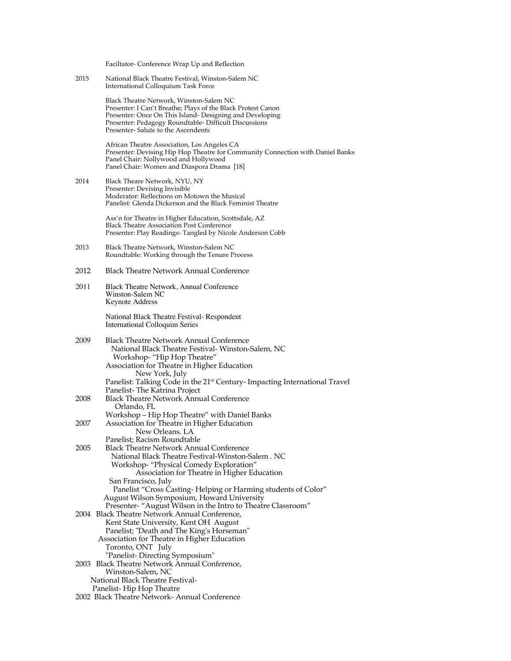Faciltator- Conference Wrap Up and Reflection

2015 National Black Theatre Festival, Winston-Salem NC International Colloquium Task Force

> Black Theatre Network, Winston-Salem NC Presenter: I Can't Breathe; Plays of the Black Protest Canon Presenter: Once On This Island- Designing and Developing Presenter: Pedagogy Roundtable- Difficult Discussions Presenter- Salute to the Ascendents

African Theatre Association, Los Angeles CA Presenter: Devising Hip Hop Theatre for Community Connection with Daniel Banks Panel Chair: Nollywood and Hollywood Panel Chair: Women and Diaspora Drama [18]

2014 Black Theare Network, NYU, NY Presenter: Devising Invisible Moderator: Reflections on Motown the Musical Panelist: Glenda Dickerson and the Black Feminist Theatre

> Ass'n for Theatre in Higher Education, Scottsdale, AZ Black Theatre Association Post Conference Presenter: Play Readings- Tangled by Nicole Anderson Cobb

- 2013 Black Theatre Network, Winston-Salem NC Roundtable: Working through the Tenure Process
- 2012 Black Theatre Network Annual Conference
- 2011 Black Theatre Network, Annual Conference Winston-Salem NC Keynote Address

National Black Theatre Festival- Respondent International Colloquim Series

2009 Black Theatre Network Annual Conference National Black Theatre Festival- Winston-Salem, NC Workshop- "Hip Hop Theatre" Association for Theatre in Higher Education New York, July Panelist: Talking Code in the 21<sup>st</sup> Century- Impacting International Travel Panelist- The Katrina Project 2008 Black Theatre Network Annual Conference Orlando, FL Workshop – Hip Hop Theatre" with Daniel Banks 2007 Association for Theatre in Higher Education New Orleans. LA Panelist; Racism Roundtable 2005 Black Theatre Network Annual Conference National Black Theatre Festival-Winston-Salem . NC Workshop- "Physical Comedy Exploration" Association for Theatre in Higher Education San Francisco, July Panelist "Cross Casting- Helping or Harming students of Color" August Wilson Symposium, Howard University Presenter- "August Wilson in the Intro to Theatre Classroom" 2004 Black Theatre Network Annual Conference, Kent State University, Kent OH August Panelist; "Death and The King's Horseman" Association for Theatre in Higher Education Toronto, ONT July "Panelist- Directing Symposium" 2003 Black Theatre Network Annual Conference, Winston-Salem, NC National Black Theatre Festival- Panelist- Hip Hop Theatre 2002 Black Theatre Network- Annual Conference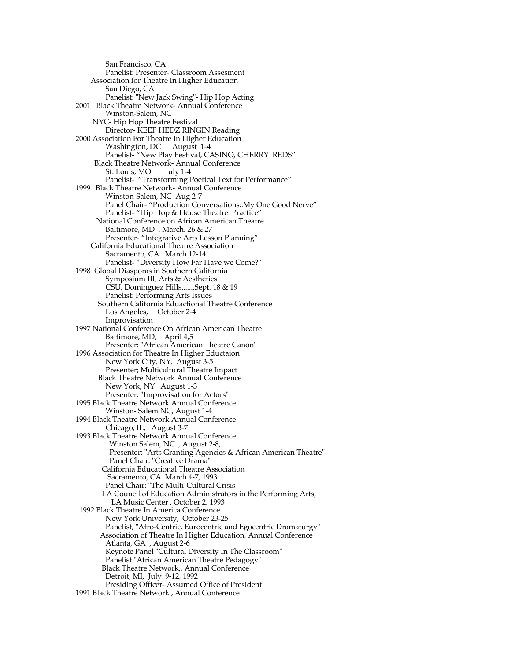San Francisco, CA Panelist: Presenter- Classroom Assesment Association for Theatre In Higher Education San Diego, CA Panelist: "New Jack Swing"- Hip Hop Acting 2001 Black Theatre Network- Annual Conference Winston-Salem, NC NYC- Hip Hop Theatre Festival Director- KEEP HEDZ RINGIN Reading 2000 Association For Theatre In Higher Education Washington, DC August 1-4 Panelist- "New Play Festival, CASINO, CHERRY REDS" Black Theatre Network- Annual Conference<br>St. Louis, MO [luly 1-4] St. Louis, MO Panelist- "Transforming Poetical Text for Performance" 1999 Black Theatre Network- Annual Conference Winston-Salem, NC Aug 2-7 Panel Chair- "Production Conversations::My One Good Nerve" Panelist- "Hip Hop & House Theatre Practice" National Conference on African American Theatre Baltimore, MD , March. 26 & 27 Presenter- "Integrative Arts Lesson Planning" California Educational Theatre Association Sacramento, CA March 12-14 Panelist- "Diversity How Far Have we Come?" 1998 Global Diasporas in Southern California Symposium III, Arts & Aesthetics CSU, Dominguez Hills.......Sept. 18 & 19 Panelist: Performing Arts Issues Southern California Eduactional Theatre Conference Los Angeles, October 2-4 Improvisation 1997 National Conference On African American Theatre Baltimore, MD, April 4,5 Presenter: "African American Theatre Canon" 1996 Association for Theatre In Higher Eductaion New York City, NY, August 3-5 Presenter; Multicultural Theatre Impact Black Theatre Network Annual Conference New York, NY August 1-3 Presenter: "Improvisation for Actors" 1995 Black Theatre Network Annual Conference Winston- Salem NC, August 1-4 1994 Black Theatre Network Annual Conference Chicago, IL, August 3-7 1993 Black Theatre Network Annual Conference Winston Salem, NC , August 2-8, Presenter: "Arts Granting Agencies & African American Theatre" Panel Chair: "Creative Drama" California Educational Theatre Association Sacramento, CA March 4-7, 1993 Panel Chair: "The Multi-Cultural Crisis LA Council of Education Administrators in the Performing Arts, LA Music Center , October 2, 1993 1992 Black Theatre In America Conference New York University, October 23-25 Panelist, "Afro-Centric, Eurocentric and Egocentric Dramaturgy" Association of Theatre In Higher Education, Annual Conference Atlanta, GA , August 2-6 Keynote Panel "Cultural Diversity In The Classroom" Panelist "African American Theatre Pedagogy" Black Theatre Network,, Annual Conference Detroit, MI, July 9-12, 1992 Presiding Officer- Assumed Office of President 1991 Black Theatre Network , Annual Conference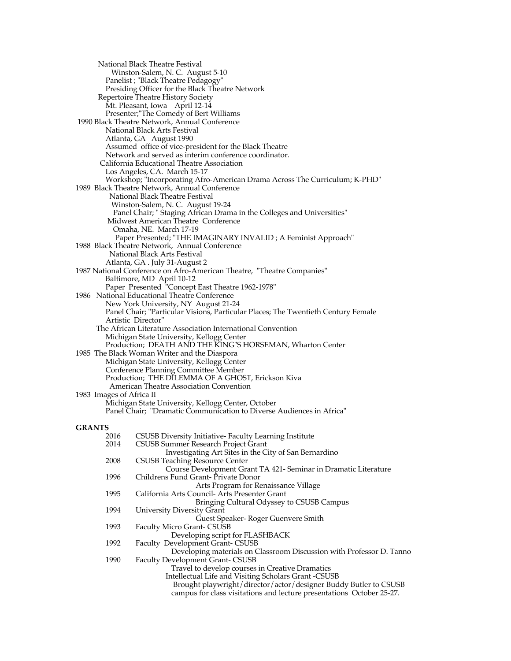National Black Theatre Festival Winston-Salem, N. C. August 5-10 Panelist ; "Black Theatre Pedagogy" Presiding Officer for the Black Theatre Network Repertoire Theatre History Society Mt. Pleasant, Iowa April 12-14 Presenter;"The Comedy of Bert Williams 1990 Black Theatre Network, Annual Conference National Black Arts Festival Atlanta, GA August 1990 Assumed office of vice-president for the Black Theatre Network and served as interim conference coordinator. California Educational Theatre Association Los Angeles, CA. March 15-17 Workshop; "Incorporating Afro-American Drama Across The Curriculum; K-PHD" 1989 Black Theatre Network, Annual Conference National Black Theatre Festival Winston-Salem, N. C. August 19-24 Panel Chair; " Staging African Drama in the Colleges and Universities" Midwest American Theatre Conference Omaha, NE. March 17-19 Paper Presented; "THE IMAGINARY INVALID ; A Feminist Approach" 1988 Black Theatre Network, Annual Conference National Black Arts Festival Atlanta, GA . July 31-August 2 1987 National Conference on Afro-American Theatre, "Theatre Companies" Baltimore, MD April 10-12 Paper Presented "Concept East Theatre 1962-1978" 1986 National Educational Theatre Conference New York University, NY August 21-24 Panel Chair; "Particular Visions, Particular Places; The Twentieth Century Female Artistic Director" The African Literature Association International Convention Michigan State University, Kellogg Center Production; DEATH AND THE KING"S HORSEMAN, Wharton Center 1985 The Black Woman Writer and the Diaspora Michigan State University, Kellogg Center Conference Planning Committee Member Production; THE DILEMMA OF A GHOST, Erickson Kiva American Theatre Association Convention 1983 Images of Africa II Michigan State University, Kellogg Center, October Panel Chair; "Dramatic Communication to Diverse Audiences in Africa" GRANTS<sub>2016</sub> 2016 CSUSB Diversity Initiative- Faculty Learning Institute 2014 CSUSB Summer Research Project Grant CSUSB Summer Research Project Grant Investigating Art Sites in the City of San Bernardino 2008 CSUSB Teaching Resource Center Course Development Grant TA 421- Seminar in Dramatic Literature 1996 Childrens Fund Grant- Private Donor Arts Program for Renaissance Village 1995 California Arts Council- Arts Presenter Grant Bringing Cultural Odyssey to CSUSB Campus 1994 University Diversity Grant Guest Speaker- Roger Guenvere Smith 1993 Faculty Micro Grant- CSUSB Developing script for FLASHBACK 1992 Faculty Development Grant- CSUSB Developing materials on Classroom Discussion with Professor D. Tanno 1990 Faculty Development Grant- CSUSB Travel to develop courses in Creative Dramatics Intellectual Life and Visiting Scholars Grant -CSUSB Brought playwright/director/actor/designer Buddy Butler to CSUSB campus for class visitations and lecture presentations October 25-27.